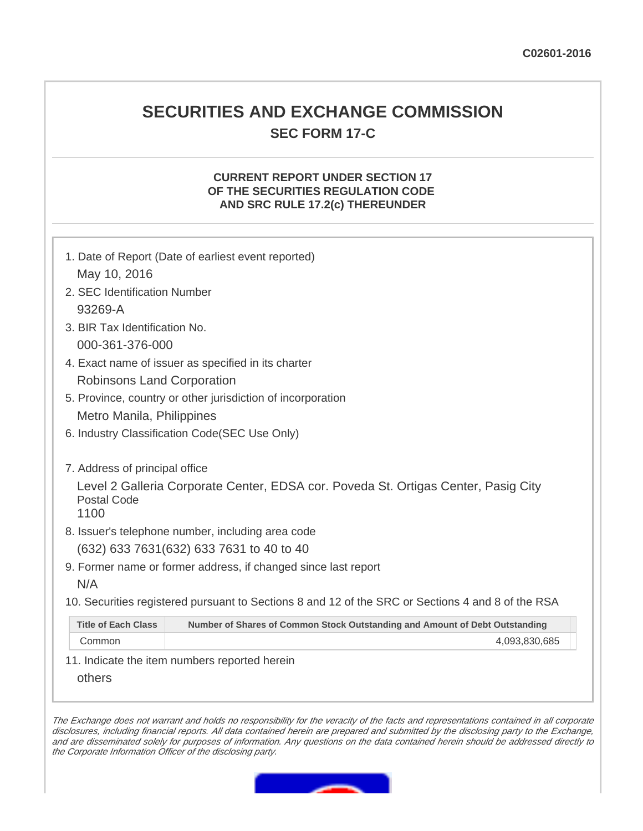## **SECURITIES AND EXCHANGE COMMISSION SEC FORM 17-C**

## **CURRENT REPORT UNDER SECTION 17 OF THE SECURITIES REGULATION CODE AND SRC RULE 17.2(c) THEREUNDER**

|                                                                                                                                                    | 1. Date of Report (Date of earliest event reported)                         |  |
|----------------------------------------------------------------------------------------------------------------------------------------------------|-----------------------------------------------------------------------------|--|
| May 10, 2016                                                                                                                                       |                                                                             |  |
| 2. SEC Identification Number                                                                                                                       |                                                                             |  |
| 93269-A                                                                                                                                            |                                                                             |  |
| 3. BIR Tax Identification No.                                                                                                                      |                                                                             |  |
| 000-361-376-000                                                                                                                                    |                                                                             |  |
| 4. Exact name of issuer as specified in its charter                                                                                                |                                                                             |  |
| <b>Robinsons Land Corporation</b>                                                                                                                  |                                                                             |  |
| 5. Province, country or other jurisdiction of incorporation                                                                                        |                                                                             |  |
| Metro Manila, Philippines                                                                                                                          |                                                                             |  |
| 6. Industry Classification Code(SEC Use Only)                                                                                                      |                                                                             |  |
| 7. Address of principal office<br>Level 2 Galleria Corporate Center, EDSA cor. Poveda St. Ortigas Center, Pasig City<br><b>Postal Code</b><br>1100 |                                                                             |  |
| 8. Issuer's telephone number, including area code                                                                                                  |                                                                             |  |
| (632) 633 7631 (632) 633 7631 to 40 to 40                                                                                                          |                                                                             |  |
| 9. Former name or former address, if changed since last report                                                                                     |                                                                             |  |
| N/A                                                                                                                                                |                                                                             |  |
| 10. Securities registered pursuant to Sections 8 and 12 of the SRC or Sections 4 and 8 of the RSA                                                  |                                                                             |  |
| <b>Title of Each Class</b>                                                                                                                         | Number of Shares of Common Stock Outstanding and Amount of Debt Outstanding |  |
| Common                                                                                                                                             | 4,093,830,685                                                               |  |
| 11. Indicate the item numbers reported herein                                                                                                      |                                                                             |  |
| others                                                                                                                                             |                                                                             |  |

The Exchange does not warrant and holds no responsibility for the veracity of the facts and representations contained in all corporate disclosures, including financial reports. All data contained herein are prepared and submitted by the disclosing party to the Exchange, and are disseminated solely for purposes of information. Any questions on the data contained herein should be addressed directly to the Corporate Information Officer of the disclosing party.